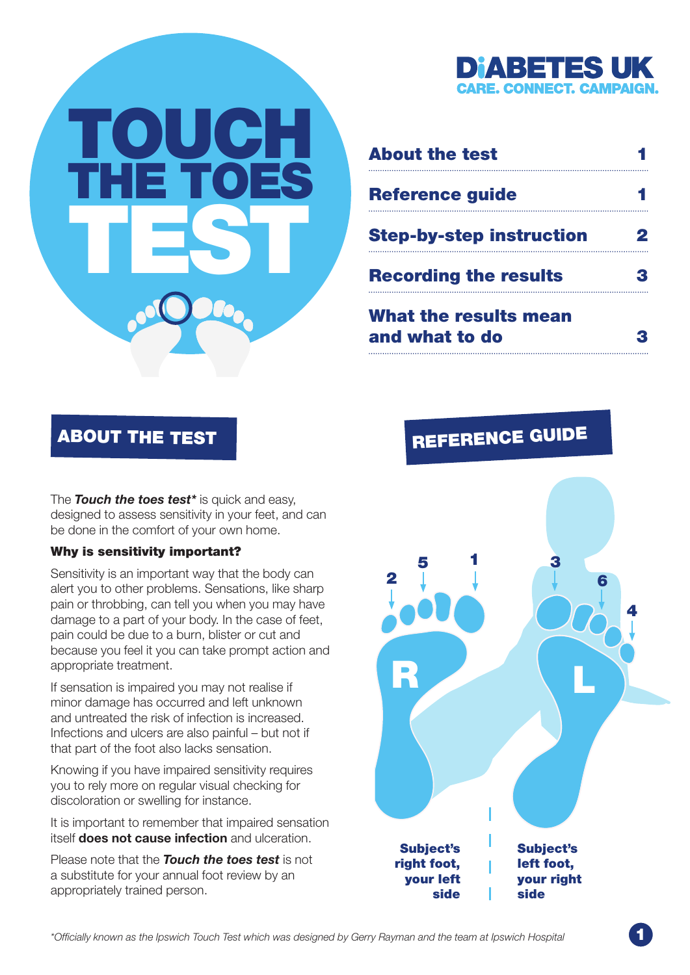

| <b>About the test</b>                          |  |
|------------------------------------------------|--|
| <b>Reference guide</b>                         |  |
| <b>Step-by-step instruction</b>                |  |
| <b>Recording the results</b>                   |  |
| <b>What the results mean</b><br>and what to do |  |

The *Touch the toes test\** is quick and easy, designed to assess sensitivity in your feet, and can be done in the comfort of your own home.

TOUCH

THE TOES

TEST

#### Why is sensitivity important?

Sensitivity is an important way that the body can alert you to other problems. Sensations, like sharp pain or throbbing, can tell you when you may have damage to a part of your body. In the case of feet, pain could be due to a burn, blister or cut and because you feel it you can take prompt action and appropriate treatment.

If sensation is impaired you may not realise if minor damage has occurred and left unknown and untreated the risk of infection is increased. Infections and ulcers are also painful – but not if that part of the foot also lacks sensation.

Knowing if you have impaired sensitivity requires you to rely more on regular visual checking for discoloration or swelling for instance.

It is important to remember that impaired sensation itself does not cause infection and ulceration.

Please note that the *Touch the toes test* is not a substitute for your annual foot review by an appropriately trained person.

# <span id="page-0-0"></span>ABOUT THE TEST REFERENCE GUIDE

<span id="page-0-1"></span>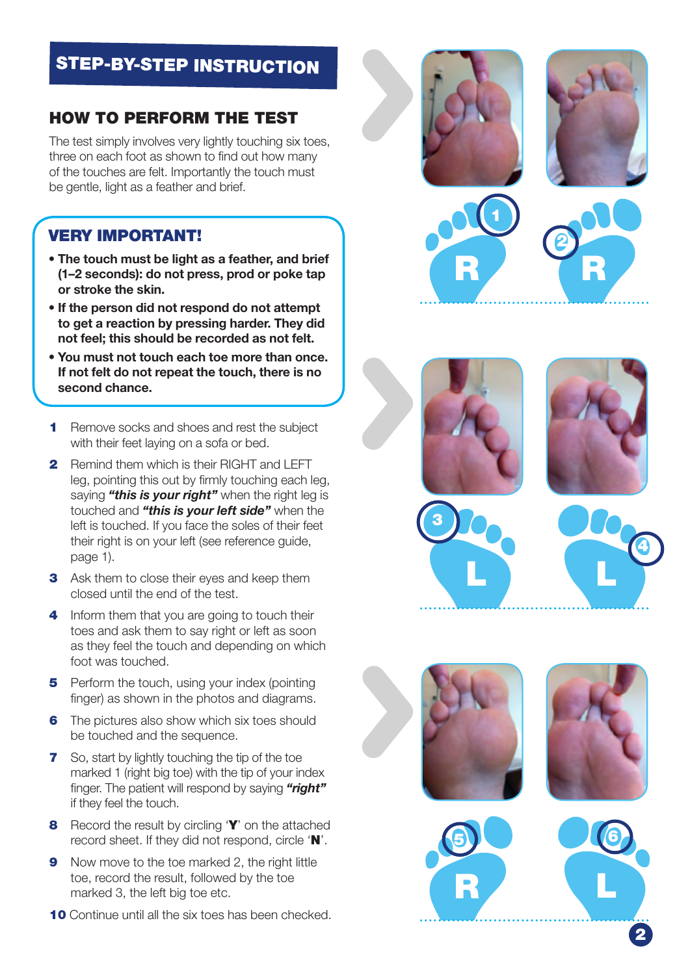# <span id="page-1-0"></span>STEP-BY-STEP INSTRUCTION

## HOW TO PERFORM THE TEST

The test simply involves very lightly touching six toes, three on each foot as shown to find out how many of the touches are felt. Importantly the touch must be gentle, light as a feather and brief.

## VERY IMPORTANT!

- The touch must be light as a feather, and brief (1–2 seconds): do not press, prod or poke tap or stroke the skin.
- If the person did not respond do not attempt to get a reaction by pressing harder. They did not feel; this should be recorded as not felt.
- You must not touch each toe more than once. If not felt do not repeat the touch, there is no second chance.
- **1** Remove socks and shoes and rest the subject with their feet laying on a sofa or bed.
- **2** Remind them which is their RIGHT and LEFT leg, pointing this out by firmly touching each leg, saying *"this is your right"* when the right leg is touched and *"this is your left side"* when the left is touched. If you face the soles of their feet their right is on your left (see reference guide, page 1).
- **3** Ask them to close their eyes and keep them closed until the end of the test.
- 4 Inform them that you are going to touch their toes and ask them to say right or left as soon as they feel the touch and depending on which foot was touched.
- 5 Perform the touch, using your index (pointing finger) as shown in the photos and diagrams.
- **6** The pictures also show which six toes should be touched and the sequence.
- **7** So, start by lightly touching the tip of the toe marked 1 (right big toe) with the tip of your index finger. The patient will respond by saying *"right"* if they feel the touch.
- **8** Record the result by circling 'Y' on the attached record sheet. If they did not respond, circle 'N'.
- 9 Now move to the toe marked 2, the right little toe, record the result, followed by the toe marked 3, the left big toe etc.
- 10 Continue until all the six toes has been checked.





1